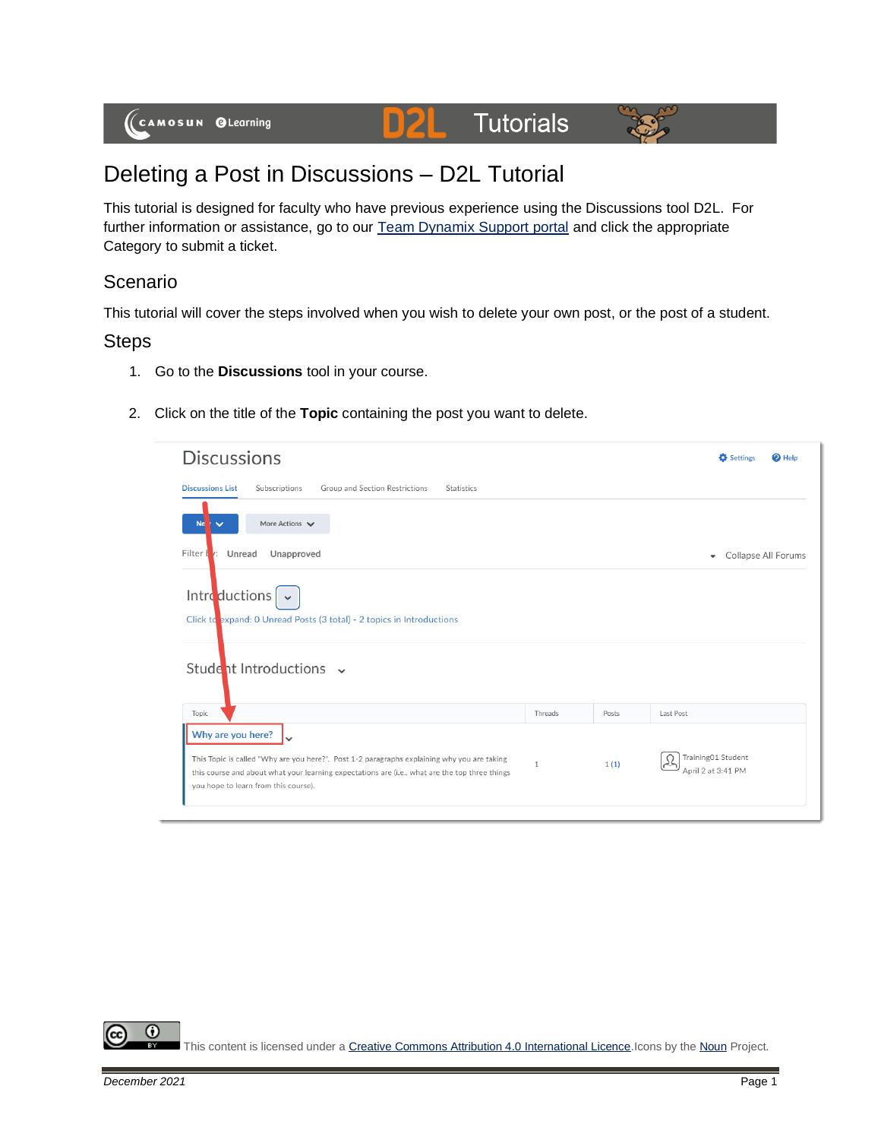



## Deleting a Post in Discussions – D2L Tutorial

This tutorial is designed for faculty who have previous experience using the Discussions tool D2L. For further information or assistance, go to our [Team Dynamix Support portal](https://camosun.teamdynamix.com/TDClient/67/Portal/Requests/ServiceCatalog?CategoryID=523) and click the appropriate Category to submit a ticket.

## Scenario

This tutorial will cover the steps involved when you wish to delete your own post, or the post of a student.

## **Steps**

- 1. Go to the **Discussions** tool in your course.
- 2. Click on the title of the **Topic** containing the post you want to delete.

| <b>Discussions</b>                                                                                                                                                                                                 |              |       | <b>D</b> Settings<br>$\bullet$ Help             |
|--------------------------------------------------------------------------------------------------------------------------------------------------------------------------------------------------------------------|--------------|-------|-------------------------------------------------|
| <b>Discussions List</b><br>Subscriptions<br>Group and Section Restrictions<br>Statistics                                                                                                                           |              |       |                                                 |
| More Actions $\blacktriangleright$<br>Ne<br>$\checkmark$                                                                                                                                                           |              |       |                                                 |
| Filter I<br>Unread<br>Unapproved<br>V:                                                                                                                                                                             |              |       | Collapse All Forums<br>$\overline{\phantom{a}}$ |
| Introductions<br>Click to expand: 0 Unread Posts (3 total) - 2 topics in Introductions                                                                                                                             |              |       |                                                 |
| Student Introductions v                                                                                                                                                                                            |              |       |                                                 |
| Topic                                                                                                                                                                                                              | Threads      | Posts | Last Post                                       |
| Why are you here?<br>This Topic is called "Why are you here?". Post 1-2 paragraphs explaining why you are taking<br>this course and about what your learning expectations are (i.e., what are the top three things | $\mathbf{1}$ | 1(1)  | Training01 Student<br>کلہ<br>April 2 at 3:41 PM |

0 This content is licensed under [a Creative Commons Attribution 4.0 International Licence.I](https://creativecommons.org/licenses/by/4.0/)cons by th[e Noun](https://creativecommons.org/website-icons/) Project.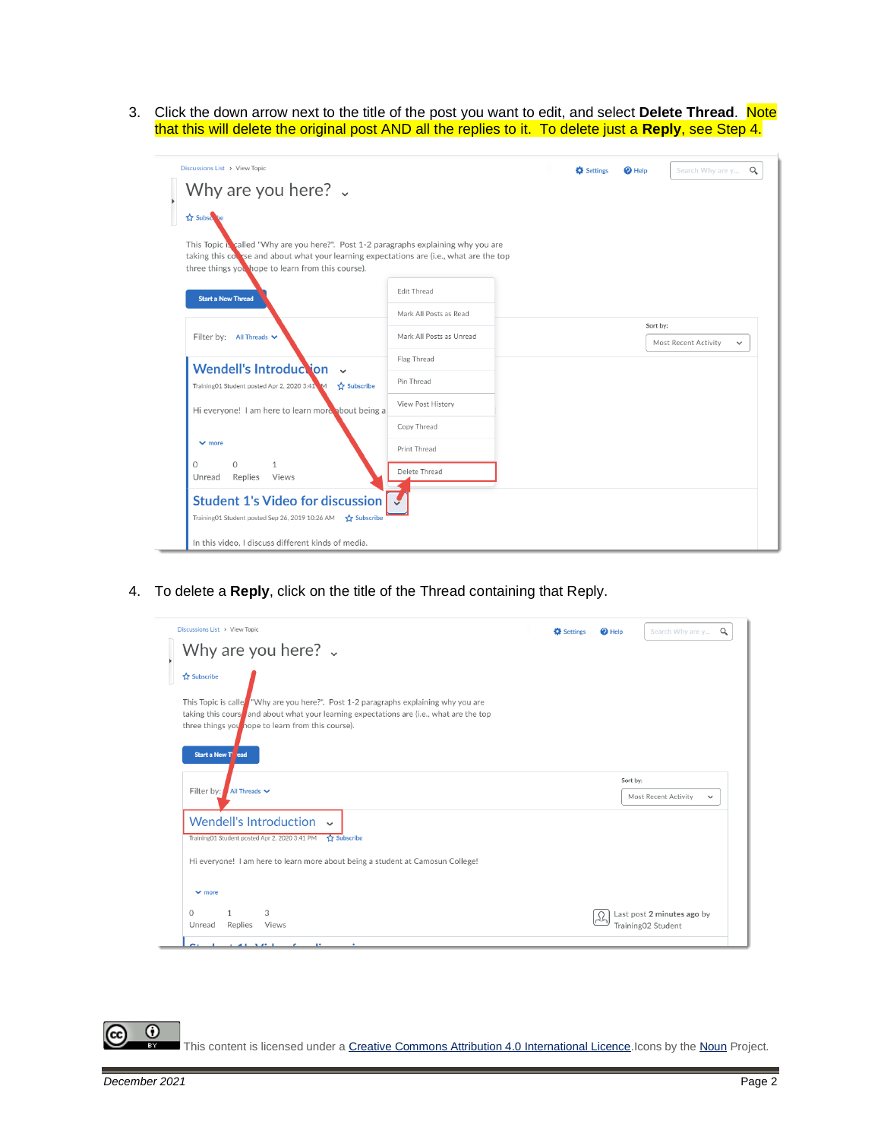3. Click the down arrow next to the title of the post you want to edit, and select **Delete Thread**. Note that this will delete the original post AND all the replies to it. To delete just a **Reply**, see Step 4.

| Discussions List > View Topic                                                                                                                                                                                                       |                          | <b>D</b> Settings | $\bullet$ Help | Search Why are y<br>$\alpha$         |
|-------------------------------------------------------------------------------------------------------------------------------------------------------------------------------------------------------------------------------------|--------------------------|-------------------|----------------|--------------------------------------|
| Why are you here? $\sqrt{ }$                                                                                                                                                                                                        |                          |                   |                |                                      |
| <b>Subscribe</b>                                                                                                                                                                                                                    |                          |                   |                |                                      |
| This Topic Nealled "Why are you here?". Post 1-2 paragraphs explaining why you are<br>taking this covice and about what your learning expectations are (i.e., what are the top<br>three things you hope to learn from this course). |                          |                   |                |                                      |
| <b>Start a New Thread</b>                                                                                                                                                                                                           | Edit Thread              |                   |                |                                      |
|                                                                                                                                                                                                                                     | Mark All Posts as Read   |                   |                | Sort by:                             |
| Filter by: All Threads v                                                                                                                                                                                                            | Mark All Posts as Unread |                   |                | Most Recent Activity<br>$\checkmark$ |
| Wendell's Introduction v                                                                                                                                                                                                            | Flag Thread              |                   |                |                                      |
| Training01 Student posted Apr 2, 2020 3:41 M<br>Subscribe                                                                                                                                                                           | Pin Thread               |                   |                |                                      |
| Hi everyone! I am here to learn more about being a                                                                                                                                                                                  | View Post History        |                   |                |                                      |
|                                                                                                                                                                                                                                     | Copy Thread              |                   |                |                                      |
| $\vee$ more                                                                                                                                                                                                                         | Print Thread             |                   |                |                                      |
| $\circ$<br>$\Omega$<br>$\mathbf{1}$<br>Replies<br>Views<br>Unread                                                                                                                                                                   | Delete Thread            |                   |                |                                      |
| <b>Student 1's Video for discussion</b><br>Training01 Student posted Sep 26, 2019 10:26 AM 5 Subscribe                                                                                                                              |                          |                   |                |                                      |
| In this video, I discuss different kinds of media.                                                                                                                                                                                  |                          |                   |                |                                      |

4. To delete a **Reply**, click on the title of the Thread containing that Reply.

| Discussions List > View Topic                                                                                                   | <b>D</b> Settings | $\mathbf{\Theta}$ Help | Search Why are y<br>Q                            |
|---------------------------------------------------------------------------------------------------------------------------------|-------------------|------------------------|--------------------------------------------------|
| Why are you here? $\sqrt{ }$                                                                                                    |                   |                        |                                                  |
| <b>☆ Subscribe</b>                                                                                                              |                   |                        |                                                  |
| This Topic is caller "Why are you here?". Post 1-2 paragraphs explaining why you are                                            |                   |                        |                                                  |
| taking this course and about what your learning expectations are (i.e., what are the top                                        |                   |                        |                                                  |
| three things you hope to learn from this course).                                                                               |                   |                        |                                                  |
|                                                                                                                                 |                   |                        |                                                  |
| Start a New T ead                                                                                                               |                   |                        |                                                  |
|                                                                                                                                 |                   |                        | Sort by:                                         |
| Filter by:<br>All Threads V                                                                                                     |                   |                        | Most Recent Activity<br>$\checkmark$             |
|                                                                                                                                 |                   |                        |                                                  |
| <b>Wendell's Introduction</b><br>$\sim$                                                                                         |                   |                        |                                                  |
|                                                                                                                                 |                   |                        |                                                  |
| Subscribe                                                                                                                       |                   |                        |                                                  |
|                                                                                                                                 |                   |                        |                                                  |
|                                                                                                                                 |                   |                        |                                                  |
| Training01 Student posted Apr 2, 2020 3:41 PM<br>Hi everyone! I am here to learn more about being a student at Camosun College! |                   |                        |                                                  |
| $\vee$ more                                                                                                                     |                   |                        |                                                  |
| 3<br>$\Omega$<br>Unread<br>Replies<br>Views                                                                                     |                   |                        | Last post 2 minutes ago by<br>Training02 Student |

 $\odot$ (cc This content is licensed under [a Creative Commons Attribution 4.0 International Licence.I](https://creativecommons.org/licenses/by/4.0/)cons by th[e Noun](https://creativecommons.org/website-icons/) Project.

÷